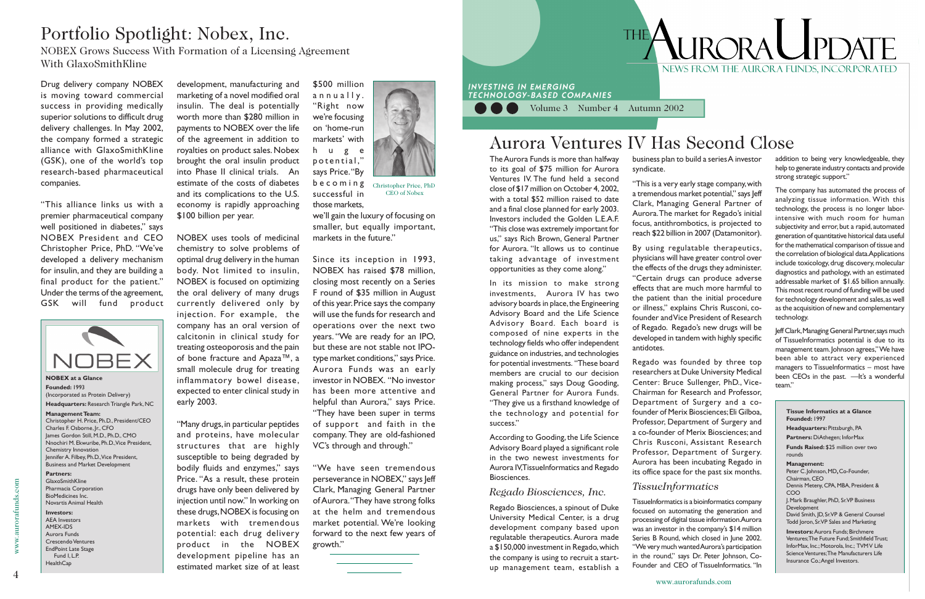Volume 3 Number 4 Autumn 2002

Drug delivery company NOBEX is moving toward commercial success in providing medically superior solutions to difficult drug delivery challenges. In May 2002, the company formed a strategic alliance with GlaxoSmithKline (GSK), one of the world's top research-based pharmaceutical companies.

"This alliance links us with a premier pharmaceutical company well positioned in diabetes," says NOBEX President and CEO Christopher Price, PhD. "We've developed a delivery mechanism for insulin, and they are building a final product for the patient." Under the terms of the agreement, GSK will fund product



www.aurorafunds.com

w.aurorafunds.com

# **ILIRORAL IPDAT** NEWS FROM THE AURORA FUNDS. INCORPORATED

## Portfolio Spotlight: Nobex, Inc.

NOBEX Grows Success With Formation of a Licensing Agreement With GlaxoSmithKline

> development, manufacturing and marketing of a novel modified oral insulin. The deal is potentially worth more than \$280 million in payments to NOBEX over the life of the agreement in addition to royalties on product sales. Nobex brought the oral insulin product into Phase II clinical trials. An estimate of the costs of diabetes and its complications to the U.S. economy is rapidly approaching \$100 billion per year.

> NOBEX uses tools of medicinal chemistry to solve problems of optimal drug delivery in the human body. Not limited to insulin, NOBEX is focused on optimizing the oral delivery of many drugs currently delivered only by injection. For example, the company has an oral version of calcitonin in clinical study for treating osteoporosis and the pain of bone fracture and Apaza™, a small molecule drug for treating inflammatory bowel disease, expected to enter clinical study in

early 2003.

"Many drugs, in particular peptides and proteins, have molecular structures that are highly susceptible to being degraded by bodily fluids and enzymes," says Price. "As a result, these protein drugs have only been delivered by injection until now." In working on these drugs, NOBEX is focusing on markets with tremendous potential: each drug delivery product in the NOBEX development pipeline has an estimated market size of at least



Christopher Price, PhD CEO of Nobex

\$500 million annually. "Right now we're focusing on 'home-run markets' with huge potential," says Price. "By becoming successful in those markets,

we'll gain the luxury of focusing on smaller, but equally important, markets in the future."

**Investors:** AEA Investors AMEX-IDS Aurora Funds Crescendo Ventures EndPoint Late Stage Fund I, L.P. **HealthCap** 

Since its inception in 1993, NOBEX has raised \$78 million, closing most recently on a Series F round of \$35 million in August of this year. Price says the company will use the funds for research and operations over the next two years. "We are ready for an IPO, but these are not stable not IPOtype market conditions," says Price. Aurora Funds was an early investor in NOBEX. "No investor has been more attentive and helpful than Aurora," says Price. "They have been super in terms of support and faith in the company. They are old-fashioned VC's through and through."

"We have seen tremendous perseverance in NOBEX," says leff Clark, Managing General Partner of Aurora. "They have strong folks at the helm and tremendous market potential. We're looking forward to the next few years of growth."



The Aurora Funds is more than halfway to its goal of \$75 million for Aurora Ventures IV. The fund held a second close of \$17 million on October 4, 2002,

**INVESTING IN EMERGING** 

TECHNOLOGY-BASED COMPANIES

with a total \$52 million raised to date and a final close planned for early 2003. Investors included the Golden L.E.A.F. "This close was extremely important for us," says Rich Brown, General Partner for Aurora. "It allows us to continue taking advantage of investment

opportunities as they come along."

In its mission to make strong investments, Aurora IV has two advisory boards in place, the Engineering Advisory Board and the Life Science Advisory Board. Each board is composed of nine experts in the technology fields who offer independent guidance on industries, and technologies for potential investments. "These board members are crucial to our decision making process," says Doug Gooding, General Partner for Aurora Funds. "They give us a firsthand knowledge of the technology and potential for success."

According to Gooding, the Life Science Advisory Board played a significant role in the two newest investments for Aurora IV, TissueInformatics and Regado Biosciences.

### *Regado Biosciences, Inc.*

Regado Biosciences, a spinout of Duke University Medical Center, is a drug development company based upon regulatable therapeutics. Aurora made a \$150,000 investment in Regado, which the company is using to recruit a startup management team, establish a

**NOBEX at a Glance Founded:** 1993 (Incorporated as Protein Delivery) **Headquarters:** Research Triangle Park, NC

### **Management Team:**

Christopher H. Price, Ph.D., President/CEO Charles F. Osborne, Jr., CFO James Gordon Still, M.D., Ph.D., CMO Nnochiri M. Ekwuribe, Ph.D., Vice President, Chemistry Innovation Jennifer A. Filbey, Ph.D., Vice President, Business and Market Development

### **Partners:**

GlaxoSmithKline Pharmacia Corporation BioMedicines Inc. Novartis Animal Health

business plan to build a series A investor

## syndicate.

"This is a very early stage company, with a tremendous market potential," says Jeff Clark, Managing General Partner of Aurora. The market for Regado's initial focus, antithrombotics, is projected to reach \$22 billion in 2007 (Datamonitor).

By using regulatable therapeutics, physicians will have greater control over the effects of the drugs they administer. "Certain drugs can produce adverse effects that are much more harmful to the patient than the initial procedure or illness," explains Chris Rusconi, cofounder and Vice President of Research of Regado. Regado's new drugs will be developed in tandem with highly specific

antidotes.

Regado was founded by three top researchers at Duke University Medical Center: Bruce Sullenger, PhD., Vice-Chairman for Research and Professor, Department of Surgery and a cofounder of Merix Biosciences; Eli Gilboa, Professor, Department of Surgery and a co-founder of Merix Biosciences; and Chris Rusconi, Assistant Research Professor, Department of Surgery. Aurora has been incubating Regado in its office space for the past six months.

### *TissueInformatics*

TissueInformatics is a bioinformatics company focused on automating the generation and processing of digital tissue information. Aurora was an investor in the company's \$14 million Series B Round, which closed in June 2002. "We very much wanted Aurora's participation in the round," says Dr. Peter Johnson, Co-Founder and CEO of TissueInformatics. "In addition to being very knowledgeable, they help to generate industry contacts and provide strong strategic support."

The company has automated the process of analyzing tissue information. With this technology, the process is no longer laborintensive with much room for human subjectivity and error, but a rapid, automated generation of quantitative historical data useful for the mathematical comparison of tissue and the correlation of biological data. Applications include toxicology, drug discovery, molecular diagnostics and pathology, with an estimated addressable market of \$1.65 billion annually. This most recent round of funding will be used for technology development and sales, as well as the acquisition of new and complementary technology.

Jeff Clark, Managing General Partner, says much of TissueInformatics potential is due to its management team. Johnson agrees," We have been able to attract very experienced managers to TissueInformatics – most have been CEOs in the past. —It's a wonderful team."

## Aurora Ventures IV Has Second Close

#### **Tissue Informatics at a Glance Founded:** 1997 **Headquarters:** Pittsburgh, PA **Partners:** DiAthegen; InforMax **Funds Raised:** \$25 million over two rounds **Management:** Peter C. Johnson, MD**,** Co-Founder, Chairman, CEO Dennis Meteny, CPA, MBA, President & COO J. Mark Braughler, PhD, Sr. VP Business Development David Smith, JD, Sr. VP & General Counsel Todd Joron, Sr. VP Sales and Marketing **Investors:** Aurora Funds; Birchmere Ventures; The Future Fund; Smithfield Trust; InforMax, Inc.; Motorola, Inc.; TVM V Life Science Ventures; The Manufacturers Life Insurance Co.; Angel Investors.